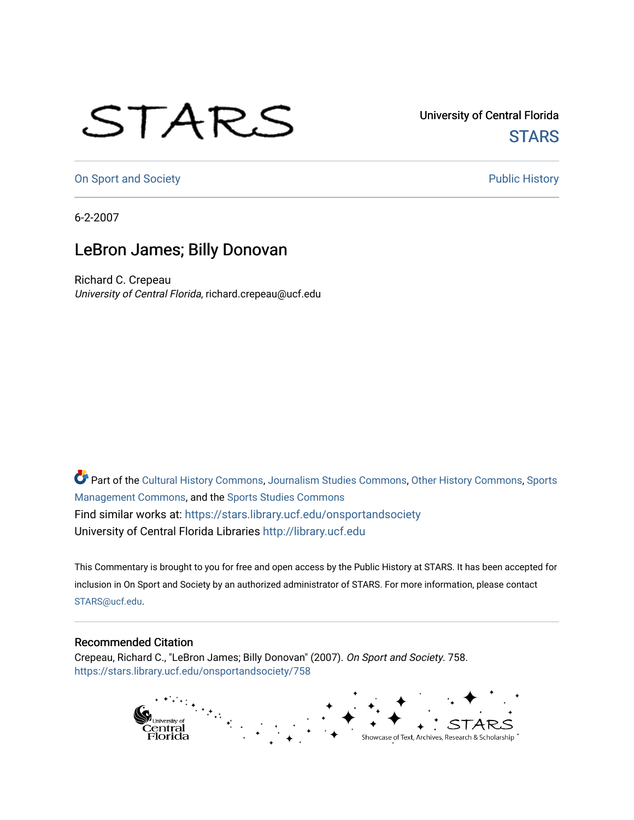## STARS

University of Central Florida **STARS** 

[On Sport and Society](https://stars.library.ucf.edu/onsportandsociety) **Public History** Public History

6-2-2007

## LeBron James; Billy Donovan

Richard C. Crepeau University of Central Florida, richard.crepeau@ucf.edu

Part of the [Cultural History Commons](http://network.bepress.com/hgg/discipline/496?utm_source=stars.library.ucf.edu%2Fonsportandsociety%2F758&utm_medium=PDF&utm_campaign=PDFCoverPages), [Journalism Studies Commons,](http://network.bepress.com/hgg/discipline/333?utm_source=stars.library.ucf.edu%2Fonsportandsociety%2F758&utm_medium=PDF&utm_campaign=PDFCoverPages) [Other History Commons,](http://network.bepress.com/hgg/discipline/508?utm_source=stars.library.ucf.edu%2Fonsportandsociety%2F758&utm_medium=PDF&utm_campaign=PDFCoverPages) [Sports](http://network.bepress.com/hgg/discipline/1193?utm_source=stars.library.ucf.edu%2Fonsportandsociety%2F758&utm_medium=PDF&utm_campaign=PDFCoverPages) [Management Commons](http://network.bepress.com/hgg/discipline/1193?utm_source=stars.library.ucf.edu%2Fonsportandsociety%2F758&utm_medium=PDF&utm_campaign=PDFCoverPages), and the [Sports Studies Commons](http://network.bepress.com/hgg/discipline/1198?utm_source=stars.library.ucf.edu%2Fonsportandsociety%2F758&utm_medium=PDF&utm_campaign=PDFCoverPages) Find similar works at: <https://stars.library.ucf.edu/onsportandsociety> University of Central Florida Libraries [http://library.ucf.edu](http://library.ucf.edu/) 

This Commentary is brought to you for free and open access by the Public History at STARS. It has been accepted for inclusion in On Sport and Society by an authorized administrator of STARS. For more information, please contact [STARS@ucf.edu](mailto:STARS@ucf.edu).

## Recommended Citation

Crepeau, Richard C., "LeBron James; Billy Donovan" (2007). On Sport and Society. 758. [https://stars.library.ucf.edu/onsportandsociety/758](https://stars.library.ucf.edu/onsportandsociety/758?utm_source=stars.library.ucf.edu%2Fonsportandsociety%2F758&utm_medium=PDF&utm_campaign=PDFCoverPages)

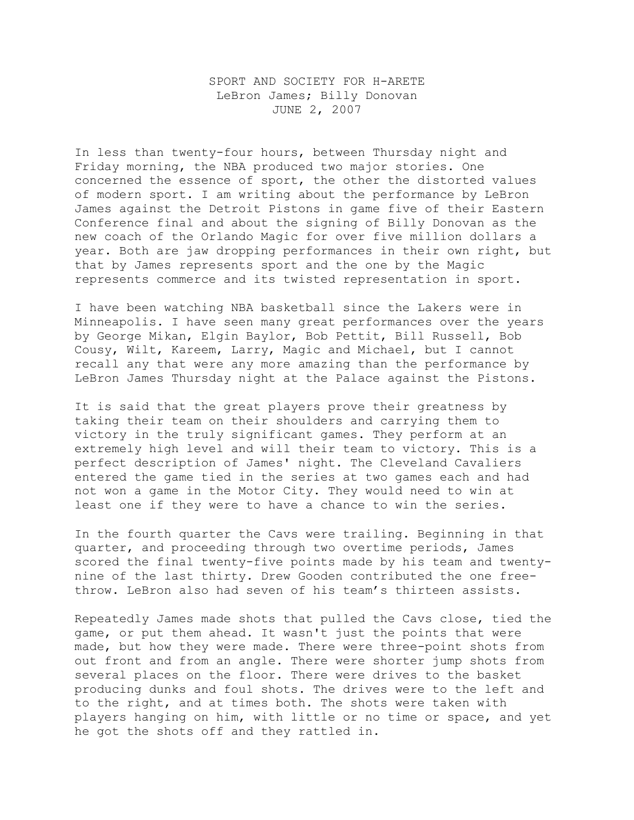## SPORT AND SOCIETY FOR H-ARETE LeBron James; Billy Donovan JUNE 2, 2007

In less than twenty-four hours, between Thursday night and Friday morning, the NBA produced two major stories. One concerned the essence of sport, the other the distorted values of modern sport. I am writing about the performance by LeBron James against the Detroit Pistons in game five of their Eastern Conference final and about the signing of Billy Donovan as the new coach of the Orlando Magic for over five million dollars a year. Both are jaw dropping performances in their own right, but that by James represents sport and the one by the Magic represents commerce and its twisted representation in sport.

I have been watching NBA basketball since the Lakers were in Minneapolis. I have seen many great performances over the years by George Mikan, Elgin Baylor, Bob Pettit, Bill Russell, Bob Cousy, Wilt, Kareem, Larry, Magic and Michael, but I cannot recall any that were any more amazing than the performance by LeBron James Thursday night at the Palace against the Pistons.

It is said that the great players prove their greatness by taking their team on their shoulders and carrying them to victory in the truly significant games. They perform at an extremely high level and will their team to victory. This is a perfect description of James' night. The Cleveland Cavaliers entered the game tied in the series at two games each and had not won a game in the Motor City. They would need to win at least one if they were to have a chance to win the series.

In the fourth quarter the Cavs were trailing. Beginning in that quarter, and proceeding through two overtime periods, James scored the final twenty-five points made by his team and twentynine of the last thirty. Drew Gooden contributed the one freethrow. LeBron also had seven of his team's thirteen assists.

Repeatedly James made shots that pulled the Cavs close, tied the game, or put them ahead. It wasn't just the points that were made, but how they were made. There were three-point shots from out front and from an angle. There were shorter jump shots from several places on the floor. There were drives to the basket producing dunks and foul shots. The drives were to the left and to the right, and at times both. The shots were taken with players hanging on him, with little or no time or space, and yet he got the shots off and they rattled in.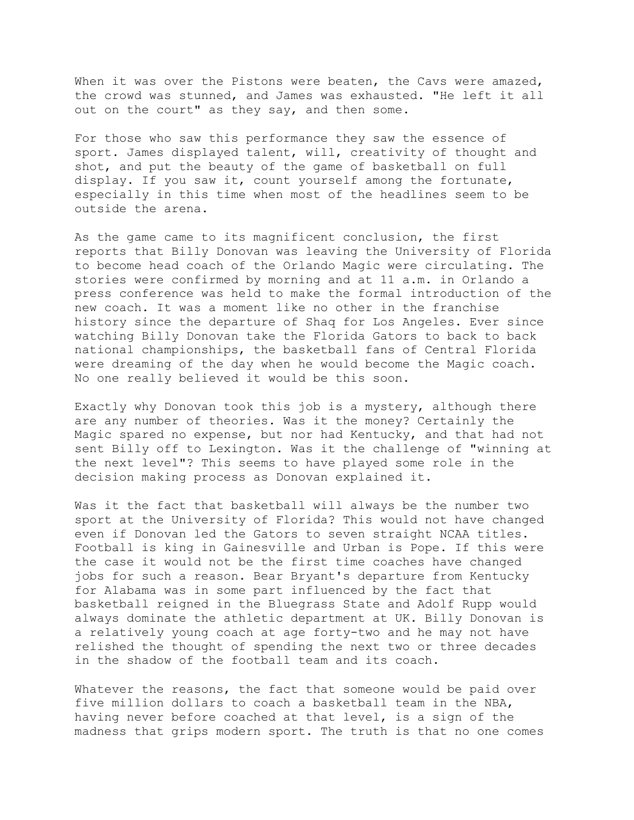When it was over the Pistons were beaten, the Cavs were amazed, the crowd was stunned, and James was exhausted. "He left it all out on the court" as they say, and then some.

For those who saw this performance they saw the essence of sport. James displayed talent, will, creativity of thought and shot, and put the beauty of the game of basketball on full display. If you saw it, count yourself among the fortunate, especially in this time when most of the headlines seem to be outside the arena.

As the game came to its magnificent conclusion, the first reports that Billy Donovan was leaving the University of Florida to become head coach of the Orlando Magic were circulating. The stories were confirmed by morning and at 11 a.m. in Orlando a press conference was held to make the formal introduction of the new coach. It was a moment like no other in the franchise history since the departure of Shaq for Los Angeles. Ever since watching Billy Donovan take the Florida Gators to back to back national championships, the basketball fans of Central Florida were dreaming of the day when he would become the Magic coach. No one really believed it would be this soon.

Exactly why Donovan took this job is a mystery, although there are any number of theories. Was it the money? Certainly the Magic spared no expense, but nor had Kentucky, and that had not sent Billy off to Lexington. Was it the challenge of "winning at the next level"? This seems to have played some role in the decision making process as Donovan explained it.

Was it the fact that basketball will always be the number two sport at the University of Florida? This would not have changed even if Donovan led the Gators to seven straight NCAA titles. Football is king in Gainesville and Urban is Pope. If this were the case it would not be the first time coaches have changed jobs for such a reason. Bear Bryant's departure from Kentucky for Alabama was in some part influenced by the fact that basketball reigned in the Bluegrass State and Adolf Rupp would always dominate the athletic department at UK. Billy Donovan is a relatively young coach at age forty-two and he may not have relished the thought of spending the next two or three decades in the shadow of the football team and its coach.

Whatever the reasons, the fact that someone would be paid over five million dollars to coach a basketball team in the NBA, having never before coached at that level, is a sign of the madness that grips modern sport. The truth is that no one comes